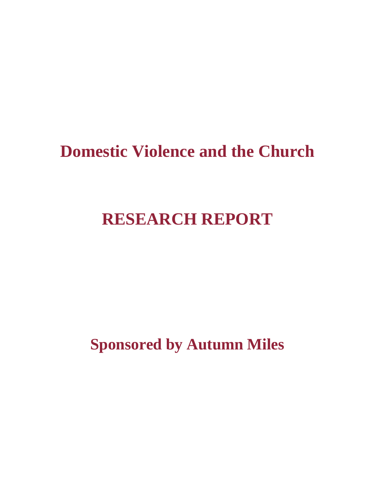# **Domestic Violence and the Church**

# **RESEARCH REPORT**

**Sponsored by Autumn Miles**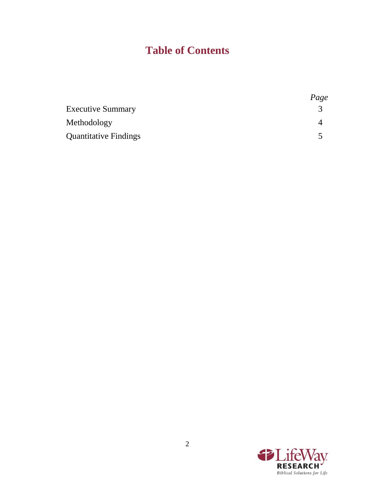## **Table of Contents**

|                              | Page |
|------------------------------|------|
| <b>Executive Summary</b>     |      |
| Methodology                  |      |
| <b>Quantitative Findings</b> |      |

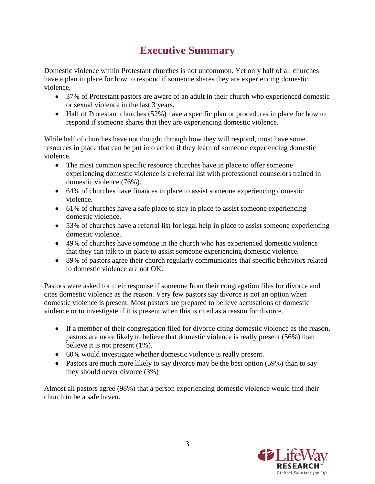## **Executive Summary**

Domestic violence within Protestant churches is not uncommon. Yet only half of all churches have a plan in place for how to respond if someone shares they are experiencing domestic violence.

- 37% of Protestant pastors are aware of an adult in their church who experienced domestic or sexual violence in the last 3 years.
- Half of Protestant churches (52%) have a specific plan or procedures in place for how to respond if someone shares that they are experiencing domestic violence.

While half of churches have not thought through how they will respond, most have some resources in place that can be put into action if they learn of someone experiencing domestic violence.

- The most common specific resource churches have in place to offer someone experiencing domestic violence is a referral list with professional counselors trained in domestic violence (76%).
- 64% of churches have finances in place to assist someone experiencing domestic violence.
- 61% of churches have a safe place to stay in place to assist someone experiencing domestic violence.
- 53% of churches have a referral list for legal help in place to assist someone experiencing domestic violence.
- 49% of churches have someone in the church who has experienced domestic violence that they can talk to in place to assist someone experiencing domestic violence.
- 89% of pastors agree their church regularly communicates that specific behaviors related to domestic violence are not OK.

Pastors were asked for their response if someone from their congregation files for divorce and cites domestic violence as the reason. Very few pastors say divorce is not an option when domestic violence is present. Most pastors are prepared to believe accusations of domestic violence or to investigate if it is present when this is cited as a reason for divorce.

- If a member of their congregation filed for divorce citing domestic violence as the reason, pastors are more likely to believe that domestic violence is really present (56%) than believe it is not present (1%).
- 60% would investigate whether domestic violence is really present.
- Pastors are much more likely to say divorce may be the best option (59%) than to say they should never divorce (3%)

Almost all pastors agree (98%) that a person experiencing domestic violence would find their church to be a safe haven.

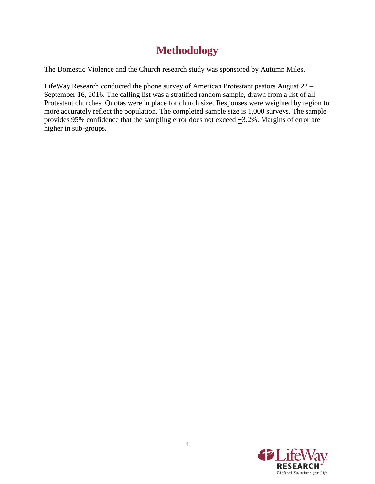### **Methodology**

The Domestic Violence and the Church research study was sponsored by Autumn Miles.

LifeWay Research conducted the phone survey of American Protestant pastors August 22 – September 16, 2016. The calling list was a stratified random sample, drawn from a list of all Protestant churches. Quotas were in place for church size. Responses were weighted by region to more accurately reflect the population. The completed sample size is 1,000 surveys. The sample provides 95% confidence that the sampling error does not exceed  $\pm$ 3.2%. Margins of error are higher in sub-groups.

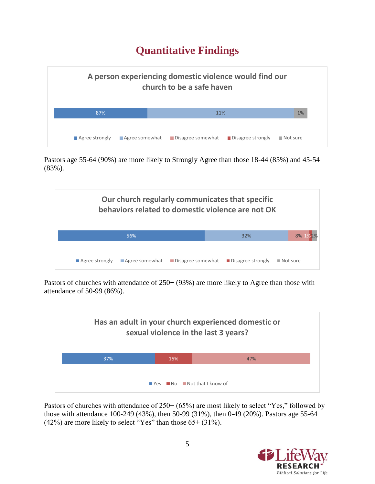### **Quantitative Findings**



Pastors age 55-64 (90%) are more likely to Strongly Agree than those 18-44 (85%) and 45-54 (83%).



Pastors of churches with attendance of  $250+ (93%)$  are more likely to Agree than those with attendance of 50-99 (86%).



Pastors of churches with attendance of 250+ (65%) are most likely to select "Yes," followed by those with attendance 100-249 (43%), then 50-99 (31%), then 0-49 (20%). Pastors age 55-64  $(42\%)$  are more likely to select "Yes" than those  $65+(31\%).$ 

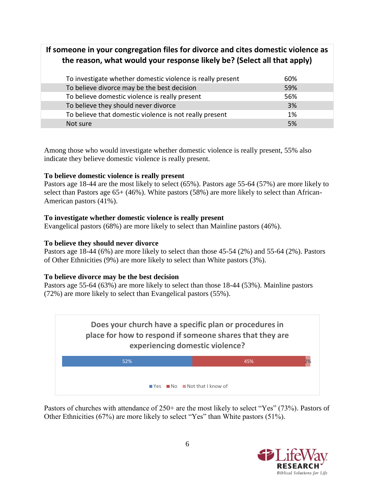### **If someone in your congregation files for divorce and cites domestic violence as the reason, what would your response likely be? (Select all that apply)**

| To investigate whether domestic violence is really present | 60% |
|------------------------------------------------------------|-----|
| To believe divorce may be the best decision                | 59% |
| To believe domestic violence is really present             | 56% |
| To believe they should never divorce                       | 3%  |
| To believe that domestic violence is not really present    | 1%  |
| Not sure                                                   | 5%  |

Among those who would investigate whether domestic violence is really present, 55% also indicate they believe domestic violence is really present.

#### **To believe domestic violence is really present**

Pastors age 18-44 are the most likely to select (65%). Pastors age 55-64 (57%) are more likely to select than Pastors age 65+ (46%). White pastors (58%) are more likely to select than African-American pastors (41%).

#### **To investigate whether domestic violence is really present**

Evangelical pastors (68%) are more likely to select than Mainline pastors (46%).

#### **To believe they should never divorce**

Pastors age 18-44 (6%) are more likely to select than those 45-54 (2%) and 55-64 (2%). Pastors of Other Ethnicities (9%) are more likely to select than White pastors (3%).

#### **To believe divorce may be the best decision**

Pastors age 55-64 (63%) are more likely to select than those 18-44 (53%). Mainline pastors (72%) are more likely to select than Evangelical pastors (55%).



Pastors of churches with attendance of 250+ are the most likely to select "Yes" (73%). Pastors of Other Ethnicities (67%) are more likely to select "Yes" than White pastors (51%).